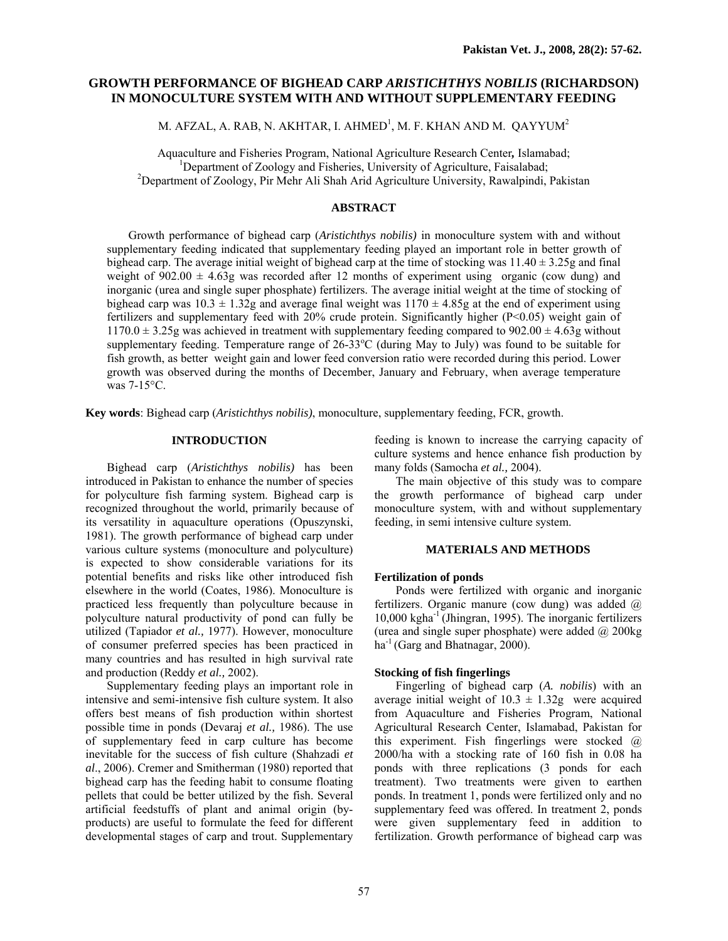# **GROWTH PERFORMANCE OF BIGHEAD CARP** *ARISTICHTHYS NOBILIS* **(RICHARDSON) IN MONOCULTURE SYSTEM WITH AND WITHOUT SUPPLEMENTARY FEEDING**

M. AFZAL, A. RAB, N. AKHTAR, I. AHMED $^{\rm l}$ , M. F. KHAN AND M.  $\rm QAYYUM^{2}$ 

Aquaculture and Fisheries Program, National Agriculture Research Center*,* Islamabad; 1 <sup>1</sup>Department of Zoology and Fisheries, University of Agriculture, Faisalabad; <sup>2</sup>Department of Zoology, Pir Mehr Ali Shah Arid Agriculture University, Rawalpindi, Pakistan

## **ABSTRACT**

 Growth performance of bighead carp (*Aristichthys nobilis)* in monoculture system with and without supplementary feeding indicated that supplementary feeding played an important role in better growth of bighead carp. The average initial weight of bighead carp at the time of stocking was  $11.40 \pm 3.25$ g and final weight of  $902.00 \pm 4.63$ g was recorded after 12 months of experiment using organic (cow dung) and inorganic (urea and single super phosphate) fertilizers. The average initial weight at the time of stocking of bighead carp was  $10.3 \pm 1.32$ g and average final weight was  $1170 \pm 4.85$ g at the end of experiment using fertilizers and supplementary feed with 20% crude protein. Significantly higher (P<0.05) weight gain of  $1170.0 \pm 3.25$ g was achieved in treatment with supplementary feeding compared to 902.00  $\pm$  4.63g without supplementary feeding. Temperature range of  $26-\overline{3}3^{\circ}C$  (during May to July) was found to be suitable for fish growth, as better weight gain and lower feed conversion ratio were recorded during this period. Lower growth was observed during the months of December, January and February, when average temperature was 7-15°C.

**Key words**: Bighead carp (*Aristichthys nobilis)*, monoculture, supplementary feeding, FCR, growth.

## **INTRODUCTION**

Bighead carp (*Aristichthys nobilis)* has been introduced in Pakistan to enhance the number of species for polyculture fish farming system. Bighead carp is recognized throughout the world, primarily because of its versatility in aquaculture operations (Opuszynski, 1981). The growth performance of bighead carp under various culture systems (monoculture and polyculture) is expected to show considerable variations for its potential benefits and risks like other introduced fish elsewhere in the world (Coates, 1986). Monoculture is practiced less frequently than polyculture because in polyculture natural productivity of pond can fully be utilized (Tapiador *et al.,* 1977). However, monoculture of consumer preferred species has been practiced in many countries and has resulted in high survival rate and production (Reddy *et al.,* 2002).

Supplementary feeding plays an important role in intensive and semi-intensive fish culture system. It also offers best means of fish production within shortest possible time in ponds (Devaraj *et al.,* 1986). The use of supplementary feed in carp culture has become inevitable for the success of fish culture (Shahzadi *et al*., 2006). Cremer and Smitherman (1980) reported that bighead carp has the feeding habit to consume floating pellets that could be better utilized by the fish. Several artificial feedstuffs of plant and animal origin (byproducts) are useful to formulate the feed for different developmental stages of carp and trout. Supplementary feeding is known to increase the carrying capacity of culture systems and hence enhance fish production by many folds (Samocha *et al.,* 2004).

The main objective of this study was to compare the growth performance of bighead carp under monoculture system, with and without supplementary feeding, in semi intensive culture system.

## **MATERIALS AND METHODS**

#### **Fertilization of ponds**

Ponds were fertilized with organic and inorganic fertilizers. Organic manure (cow dung) was added  $\omega$  $10,000$  kgha $^{-1}$  (Jhingran, 1995). The inorganic fertilizers (urea and single super phosphate) were added  $\omega$  200kg  $ha^{-1}$  (Garg and Bhatnagar, 2000).

### **Stocking of fish fingerlings**

Fingerling of bighead carp (*A. nobilis*) with an average initial weight of  $10.3 \pm 1.32$ g were acquired from Aquaculture and Fisheries Program, National Agricultural Research Center, Islamabad, Pakistan for this experiment. Fish fingerlings were stocked  $\omega$ 2000/ha with a stocking rate of 160 fish in 0.08 ha ponds with three replications (3 ponds for each treatment). Two treatments were given to earthen ponds. In treatment 1, ponds were fertilized only and no supplementary feed was offered. In treatment 2, ponds were given supplementary feed in addition to fertilization. Growth performance of bighead carp was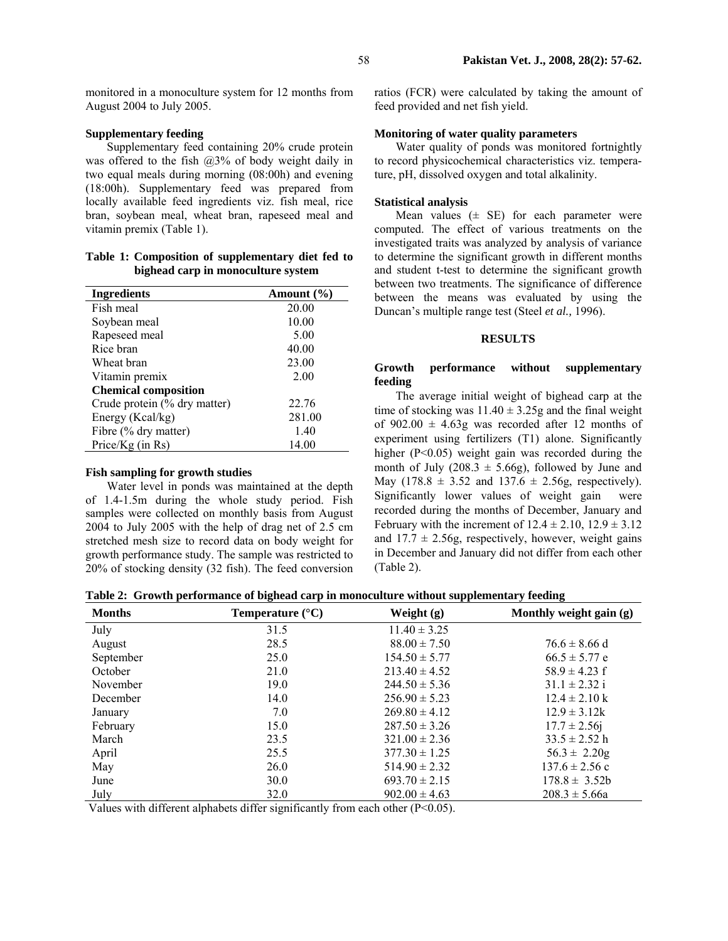monitored in a monoculture system for 12 months from August 2004 to July 2005.

## **Supplementary feeding**

Supplementary feed containing 20% crude protein was offered to the fish  $(2,3)$ % of body weight daily in two equal meals during morning (08:00h) and evening (18:00h). Supplementary feed was prepared from locally available feed ingredients viz. fish meal, rice bran, soybean meal, wheat bran, rapeseed meal and vitamin premix (Table 1).

### **Table 1: Composition of supplementary diet fed to bighead carp in monoculture system**

| <b>Ingredients</b>           | Amount $(\% )$ |
|------------------------------|----------------|
| Fish meal                    | 20.00          |
| Soybean meal                 | 10.00          |
| Rapeseed meal                | 5.00           |
| Rice bran                    | 40.00          |
| Wheat bran                   | 23.00          |
| Vitamin premix               | 2.00           |
| <b>Chemical composition</b>  |                |
| Crude protein (% dry matter) | 22.76          |
| Energy (Kcal/kg)             | 281.00         |
| Fibre (% dry matter)         | 1.40           |
| Price/ $Kg$ (in Rs)          | 14.00          |

#### **Fish sampling for growth studies**

Water level in ponds was maintained at the depth of 1.4-1.5m during the whole study period. Fish samples were collected on monthly basis from August 2004 to July 2005 with the help of drag net of 2.5 cm stretched mesh size to record data on body weight for growth performance study. The sample was restricted to 20% of stocking density (32 fish). The feed conversion

ratios (FCR) were calculated by taking the amount of feed provided and net fish yield.

## **Monitoring of water quality parameters**

Water quality of ponds was monitored fortnightly to record physicochemical characteristics viz. temperature, pH, dissolved oxygen and total alkalinity.

### **Statistical analysis**

Mean values  $(±$  SE) for each parameter were computed. The effect of various treatments on the investigated traits was analyzed by analysis of variance to determine the significant growth in different months and student t-test to determine the significant growth between two treatments. The significance of difference between the means was evaluated by using the Duncan's multiple range test (Steel *et al.,* 1996).

#### **RESULTS**

### **Growth performance without supplementary feeding**

The average initial weight of bighead carp at the time of stocking was  $11.40 \pm 3.25$ g and the final weight of  $902.00 \pm 4.63$ g was recorded after 12 months of experiment using fertilizers (T1) alone. Significantly higher (P<0.05) weight gain was recorded during the month of July (208.3  $\pm$  5.66g), followed by June and May (178.8  $\pm$  3.52 and 137.6  $\pm$  2.56g, respectively). Significantly lower values of weight gain were recorded during the months of December, January and February with the increment of  $12.4 \pm 2.10$ ,  $12.9 \pm 3.12$ and  $17.7 \pm 2.56$ g, respectively, however, weight gains in December and January did not differ from each other (Table 2).

**Table 2: Growth performance of bighead carp in monoculture without supplementary feeding** 

| <b>Months</b> | Temperature $(^{\circ}C)$ | Weight $(g)$      | Monthly weight gain (g)   |
|---------------|---------------------------|-------------------|---------------------------|
| July          | 31.5                      | $11.40 \pm 3.25$  |                           |
| August        | 28.5                      | $88.00 \pm 7.50$  | $76.6 \pm 8.66$ d         |
| September     | 25.0                      | $154.50 \pm 5.77$ | $66.5 \pm 5.77$ e         |
| October       | 21.0                      | $213.40 \pm 4.52$ | $58.9 \pm 4.23$ f         |
| November      | 19.0                      | $244.50 \pm 5.36$ | $31.1 \pm 2.32$ i         |
| December      | 14.0                      | $256.90 \pm 5.23$ | $12.4 \pm 2.10 \text{ k}$ |
| January       | 7.0                       | $269.80 \pm 4.12$ | $12.9 \pm 3.12k$          |
| February      | 15.0                      | $287.50 \pm 3.26$ | $17.7 \pm 2.56$ j         |
| March         | 23.5                      | $321.00 \pm 2.36$ | $33.5 \pm 2.52$ h         |
| April         | 25.5                      | $377.30 \pm 1.25$ | $56.3 \pm 2.20g$          |
| May           | 26.0                      | $514.90 \pm 2.32$ | $137.6 \pm 2.56$ c        |
| June          | 30.0                      | $693.70 \pm 2.15$ | $178.8 \pm 3.52b$         |
| July          | 32.0                      | $902.00 \pm 4.63$ | $208.3 \pm 5.66a$         |

Values with different alphabets differ significantly from each other (P<0.05).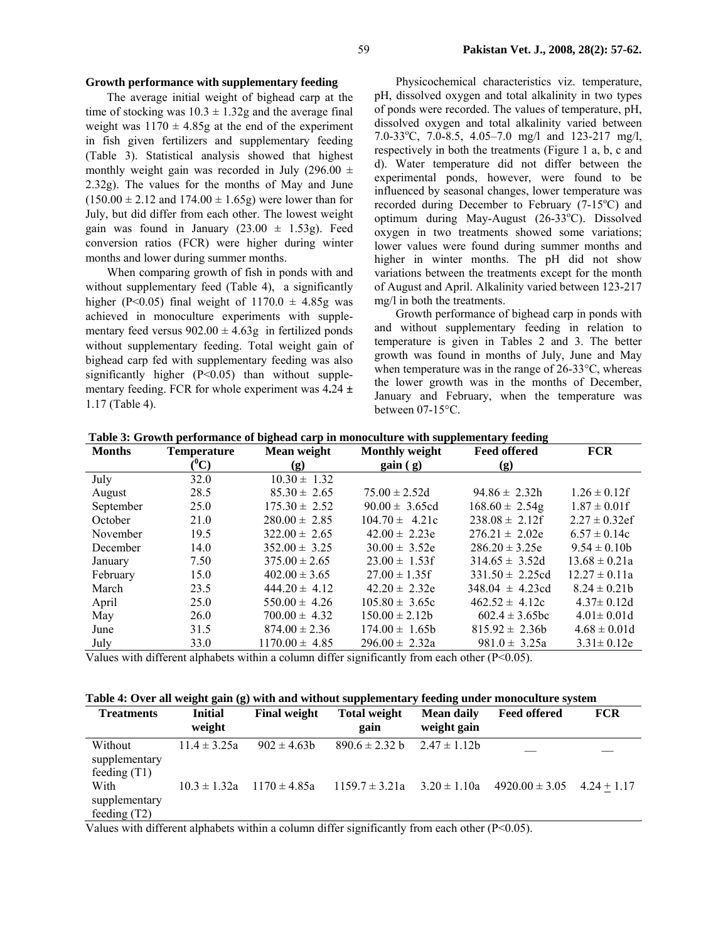## **Growth performance with supplementary feeding**

The average initial weight of bighead carp at the time of stocking was  $10.3 \pm 1.32$ g and the average final weight was  $1170 \pm 4.85$ g at the end of the experiment in fish given fertilizers and supplementary feeding (Table 3). Statistical analysis showed that highest monthly weight gain was recorded in July (296.00  $\pm$ 2.32g). The values for the months of May and June  $(150.00 \pm 2.12$  and  $174.00 \pm 1.65$ g) were lower than for July, but did differ from each other. The lowest weight gain was found in January  $(23.00 \pm 1.53g)$ . Feed conversion ratios (FCR) were higher during winter months and lower during summer months.

When comparing growth of fish in ponds with and without supplementary feed (Table 4), a significantly higher (P<0.05) final weight of  $1170.0 \pm 4.85$ g was achieved in monoculture experiments with supplementary feed versus  $902.00 \pm 4.63$ g in fertilized ponds without supplementary feeding. Total weight gain of bighead carp fed with supplementary feeding was also significantly higher  $(P<0.05)$  than without supplementary feeding. FCR for whole experiment was 4**.**24 **±**  1.17 (Table 4).

Physicochemical characteristics viz. temperature, pH, dissolved oxygen and total alkalinity in two types of ponds were recorded. The values of temperature, pH, dissolved oxygen and total alkalinity varied between 7.0-33°C, 7.0-8.5, 4.05-7.0 mg/l and 123-217 mg/l, respectively in both the treatments (Figure 1 a, b, c and d). Water temperature did not differ between the experimental ponds, however, were found to be influenced by seasonal changes, lower temperature was recorded during December to February  $(7-15^{\circ}C)$  and optimum during May-August (26-33°C). Dissolved oxygen in two treatments showed some variations; lower values were found during summer months and higher in winter months. The pH did not show variations between the treatments except for the month of August and April. Alkalinity varied between 123-217 mg/l in both the treatments.

Growth performance of bighead carp in ponds with and without supplementary feeding in relation to temperature is given in Tables 2 and 3. The better growth was found in months of July, June and May when temperature was in the range of 26-33°C, whereas the lower growth was in the months of December, January and February, when the temperature was between 07-15°C.

| <b>Months</b> | <b>Temperature</b> | Mean weight        | <b>Monthly weight</b> | <b>Feed offered</b> | <b>FCR</b>         |
|---------------|--------------------|--------------------|-----------------------|---------------------|--------------------|
|               | $(^0C)$            | (g)                | gain(g)               | (g)                 |                    |
| July          | 32.0               | $10.30 \pm 1.32$   |                       |                     |                    |
| August        | 28.5               | $85.30 \pm 2.65$   | $75.00 \pm 2.52d$     | $94.86 \pm 2.32h$   | $1.26 \pm 0.12$ f  |
| September     | 25.0               | $175.30 \pm 2.52$  | $90.00 \pm 3.65$ cd   | $168.60 \pm 2.54g$  | $1.87 \pm 0.01$ f  |
| October       | 21.0               | $280.00 \pm 2.85$  | $104.70 \pm 4.21c$    | $238.08 \pm 2.12$ f | $2.27 \pm 0.32$ ef |
| November      | 19.5               | $322.00 \pm 2.65$  | $42.00 \pm 2.23e$     | $276.21 \pm 2.02e$  | $6.57 \pm 0.14c$   |
| December      | 14.0               | $352.00 \pm 3.25$  | $30.00 \pm 3.52e$     | $286.20 \pm 3.25e$  | $9.54 \pm 0.10$ h  |
| January       | 7.50               | $375.00 \pm 2.65$  | $23.00 \pm 1.53$ f    | $314.65 \pm 3.52d$  | $13.68 \pm 0.21a$  |
| February      | 15.0               | $402.00 \pm 3.65$  | $27.00 \pm 1.35$ f    | $331.50 \pm 2.25cd$ | $12.27 \pm 0.11a$  |
| March         | 23.5               | $444.20 \pm 4.12$  | $42.20 \pm 2.32e$     | $348.04 \pm 4.23cd$ | $8.24 \pm 0.21$ b  |
| April         | 25.0               | $550.00 \pm 4.26$  | $105.80 \pm 3.65c$    | $462.52 \pm 4.12c$  | $4.37 \pm 0.12$ d  |
| May           | 26.0               | $700.00 \pm 4.32$  | $150.00 \pm 2.12b$    | $602.4 \pm 3.65$ bc | $4.01 \pm 0.01$ d  |
| June          | 31.5               | $874.00 \pm 2.36$  | $174.00 \pm 1.65$     | $815.92 \pm 2.36b$  | $4.68 \pm 0.01d$   |
| July          | 33.0               | $1170.00 \pm 4.85$ | $296.00 \pm 2.32a$    | $981.0 \pm 3.25a$   | $3.31 \pm 0.12e$   |

**Table 3: Growth performance of bighead carp in monoculture with supplementary feeding** 

Values with different alphabets within a column differ significantly from each other  $(P<0.05)$ .

**Table 4: Over all weight gain (g) with and without supplementary feeding under monoculture system** 

| <b>Treatments</b>                          | <b>Initial</b><br>weight | <b>Final weight</b> | <b>Total weight</b><br>gain | <b>Mean daily</b><br>weight gain | <b>Feed offered</b> | <b>FCR</b>    |
|--------------------------------------------|--------------------------|---------------------|-----------------------------|----------------------------------|---------------------|---------------|
| Without<br>supplementary<br>feeding $(T1)$ | $11.4 \pm 3.25a$         | $902 \pm 4.63$      | $890.6 \pm 2.32$ b          | $2.47 \pm 1.12b$                 |                     |               |
| With<br>supplementary<br>feeding $(T2)$    | $10.3 \pm 1.32a$         | $1170 \pm 485a$     | $1159.7 \pm 3.21a$          | $3.20 \pm 1.10a$                 | $4920.00 \pm 3.05$  | $4.24 + 1.17$ |

Values with different alphabets within a column differ significantly from each other (P<0.05).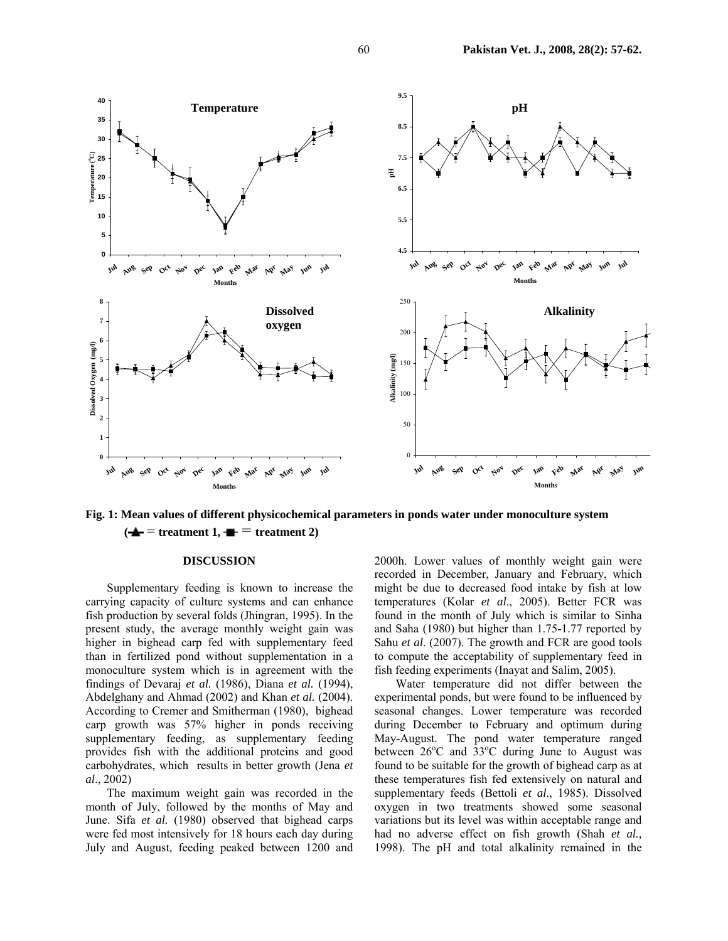

**Fig. 1: Mean values of different physicochemical parameters in ponds water under monoculture system**   $\left(\frac{A}{\sqrt{a}}\right)$  = treatment 1,  $\frac{B}{\sqrt{a}}$  = treatment 2)

#### **DISCUSSION**

Supplementary feeding is known to increase the carrying capacity of culture systems and can enhance fish production by several folds (Jhingran, 1995). In the present study, the average monthly weight gain was higher in bighead carp fed with supplementary feed than in fertilized pond without supplementation in a monoculture system which is in agreement with the findings of Devaraj *et al.* (1986), Diana *et al.* (1994), Abdelghany and Ahmad (2002) and Khan *et al.* (2004). According to Cremer and Smitherman (1980), bighead carp growth was 57% higher in ponds receiving supplementary feeding, as supplementary feeding provides fish with the additional proteins and good carbohydrates, which results in better growth (Jena *et al*., 2002)

The maximum weight gain was recorded in the month of July, followed by the months of May and June. Sifa et al. (1980) observed that bighead carps were fed most intensively for 18 hours each day during July and August, feeding peaked between 1200 and 2000h. Lower values of monthly weight gain were recorded in December, January and February, which might be due to decreased food intake by fish at low temperatures (Kolar *et al*., 2005). Better FCR was found in the month of July which is similar to Sinha and Saha (1980) but higher than 1.75-1.77 reported by Sahu *et al*. (2007). The growth and FCR are good tools to compute the acceptability of supplementary feed in fish feeding experiments (Inayat and Salim, 2005).

Water temperature did not differ between the experimental ponds, but were found to be influenced by seasonal changes. Lower temperature was recorded during December to February and optimum during May-August. The pond water temperature ranged between 26°C and 33°C during June to August was found to be suitable for the growth of bighead carp as at these temperatures fish fed extensively on natural and supplementary feeds (Bettoli *et al*., 1985). Dissolved oxygen in two treatments showed some seasonal variations but its level was within acceptable range and had no adverse effect on fish growth (Shah *et al.,* 1998). The pH and total alkalinity remained in the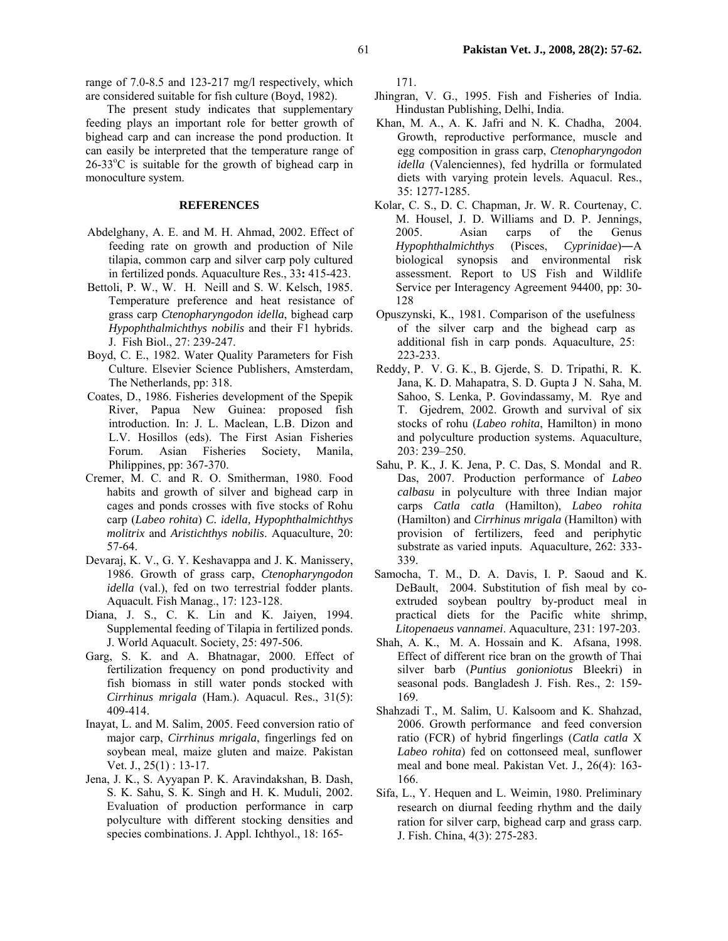range of 7.0-8.5 and 123-217 mg/l respectively, which are considered suitable for fish culture (Boyd, 1982).

The present study indicates that supplementary feeding plays an important role for better growth of bighead carp and can increase the pond production. It can easily be interpreted that the temperature range of 26-33°C is suitable for the growth of bighead carp in monoculture system.

# **REFERENCES**

- Abdelghany, A. E. and M. H. Ahmad, 2002. Effect of feeding rate on growth and production of Nile tilapia, common carp and silver carp poly cultured in fertilized ponds. Aquaculture Res., 33**:** 415-423.
- Bettoli, P. W., W. H. Neill and S. W. Kelsch, 1985. Temperature preference and heat resistance of grass carp *Ctenopharyngodon idella*, bighead carp *Hypophthalmichthys nobilis* and their F1 hybrids. J. Fish Biol., 27: 239-247.
- Boyd, C. E., 1982. Water Quality Parameters for Fish Culture. Elsevier Science Publishers, Amsterdam, The Netherlands, pp: 318.
- Coates, D., 1986. Fisheries development of the Spepik River, Papua New Guinea: proposed fish introduction. In: J. L. Maclean, L.B. Dizon and L.V. Hosillos (eds). The First Asian Fisheries Forum. Asian Fisheries Society, Manila, Philippines, pp: 367-370.
- Cremer, M. C. and R. O. Smitherman, 1980. Food habits and growth of silver and bighead carp in cages and ponds crosses with five stocks of Rohu carp (*Labeo rohita*) *C. idella, Hypophthalmichthys molitrix* and *Aristichthys nobilis*. Aquaculture, 20: 57-64.
- Devaraj, K. V., G. Y. Keshavappa and J. K. Manissery, 1986. Growth of grass carp, *Ctenopharyngodon idella* (val.), fed on two terrestrial fodder plants. Aquacult. Fish Manag., 17: 123-128.
- Diana, J. S., C. K. Lin and K. Jaiyen, 1994. Supplemental feeding of Tilapia in fertilized ponds. J. World Aquacult. Society, 25: 497-506.
- Garg, S. K. and A. Bhatnagar, 2000. Effect of fertilization frequency on pond productivity and fish biomass in still water ponds stocked with *Cirrhinus mrigala* (Ham.). Aquacul. Res., 31(5): 409-414.
- Inayat, L. and M. Salim, 2005. Feed conversion ratio of major carp, *Cirrhinus mrigala*, fingerlings fed on soybean meal, maize gluten and maize. Pakistan Vet. J., 25(1) : 13-17.
- Jena, J. K., S. Ayyapan P. K. Aravindakshan, B. Dash, S. K. Sahu, S. K. Singh and H. K. Muduli, 2002. Evaluation of production performance in carp polyculture with different stocking densities and species combinations. J. Appl. Ichthyol., 18: 165-

171.

- Jhingran, V. G., 1995. Fish and Fisheries of India. Hindustan Publishing, Delhi, India.
- Khan, M. A., A. K. Jafri and N. K. Chadha, 2004. Growth, reproductive performance, muscle and egg composition in grass carp, *Ctenopharyngodon idella* (Valenciennes), fed hydrilla or formulated diets with varying protein levels. Aquacul. Res., 35: 1277-1285.
- Kolar, C. S., D. C. Chapman, Jr. W. R. Courtenay, C. M. Housel, J. D. Williams and D. P. Jennings, 2005. Asian carps of the Genus *Hypophthalmichthys* (Pisces, *Cyprinidae*)―A biological synopsis and environmental risk assessment. Report to US Fish and Wildlife Service per Interagency Agreement 94400, pp: 30- 128
- Opuszynski, K., 1981. Comparison of the usefulness of the silver carp and the bighead carp as additional fish in carp ponds. Aquaculture, 25: 223-233.
- Reddy, P. V. G. K., B. Gjerde, S. D. Tripathi, R. K. Jana, K. D. Mahapatra, S. D. Gupta J N. Saha, M. Sahoo, S. Lenka, P. Govindassamy, M. Rye and T. Gjedrem, 2002. Growth and survival of six stocks of rohu (*Labeo rohita*, Hamilton) in mono and polyculture production systems. Aquaculture, 203: 239–250.
- Sahu, P. K., J. K. Jena, P. C. Das, S. Mondal and R. Das, 2007. Production performance of *Labeo calbasu* in polyculture with three Indian major carps *Catla catla* (Hamilton), *Labeo rohita* (Hamilton) and *Cirrhinus mrigala* (Hamilton) with provision of fertilizers, feed and periphytic substrate as varied inputs. Aquaculture, 262: 333- 339.
- Samocha, T. M., D. A. Davis, I. P. Saoud and K. DeBault, 2004. Substitution of fish meal by coextruded soybean poultry by-product meal in practical diets for the Pacific white shrimp, *Litopenaeus vannamei*. Aquaculture, 231: 197-203.
- Shah, A. K., M. A. Hossain and K. Afsana, 1998. Effect of different rice bran on the growth of Thai silver barb (*Puntius gonioniotus* Bleekri) in seasonal pods. Bangladesh J. Fish. Res., 2: 159- 169.
- Shahzadi T., M. Salim, U. Kalsoom and K. Shahzad, 2006. Growth performance and feed conversion ratio (FCR) of hybrid fingerlings (*Catla catla* X *Labeo rohita*) fed on cottonseed meal, sunflower meal and bone meal. Pakistan Vet. J., 26(4): 163- 166.
- Sifa, L., Y. Hequen and L. Weimin, 1980. Preliminary research on diurnal feeding rhythm and the daily ration for silver carp, bighead carp and grass carp. J. Fish. China, 4(3): 275-283.